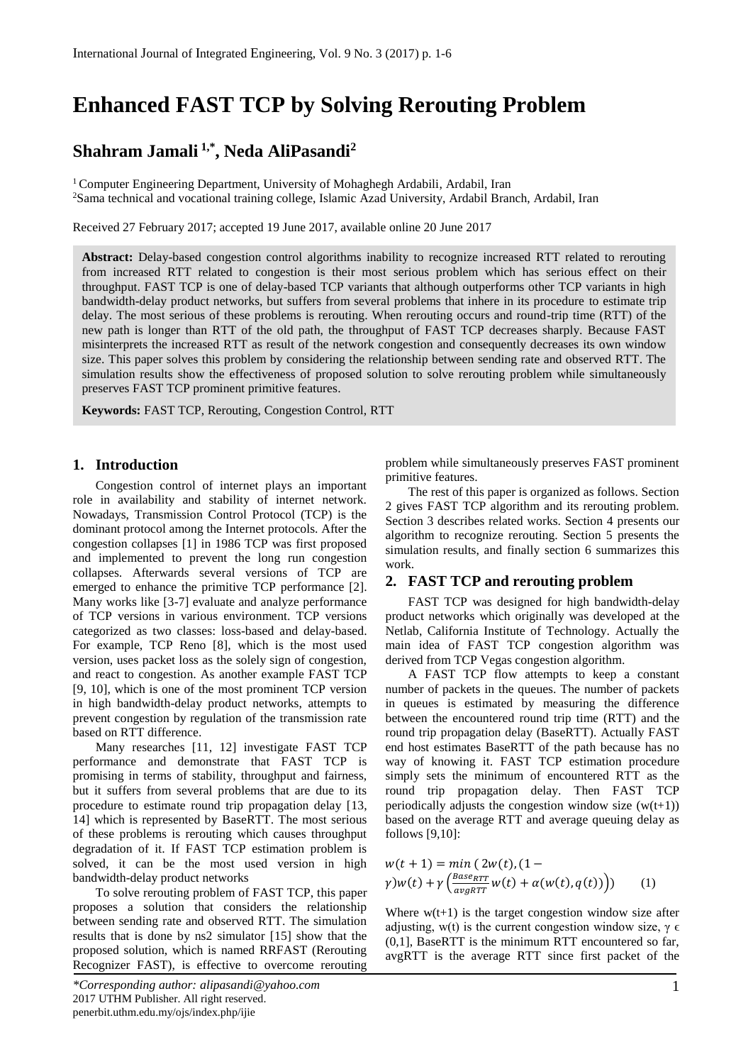# **Enhanced FAST TCP by Solving Rerouting Problem**

# **Shahram Jamali 1,\*, Neda AliPasandi<sup>2</sup>**

<sup>1</sup> Computer Engineering Department, University of Mohaghegh Ardabili, Ardabil, Iran <sup>2</sup>Sama technical and vocational training college, Islamic Azad University, Ardabil Branch, Ardabil, Iran

Received 27 February 2017; accepted 19 June 2017, available online 20 June 2017

**Abstract:** Delay-based congestion control algorithms inability to recognize increased RTT related to rerouting from increased RTT related to congestion is their most serious problem which has serious effect on their throughput. FAST TCP is one of delay-based TCP variants that although outperforms other TCP variants in high bandwidth-delay product networks, but suffers from several problems that inhere in its procedure to estimate trip delay. The most serious of these problems is rerouting. When rerouting occurs and round-trip time (RTT) of the new path is longer than RTT of the old path, the throughput of FAST TCP decreases sharply. Because FAST misinterprets the increased RTT as result of the network congestion and consequently decreases its own window size. This paper solves this problem by considering the relationship between sending rate and observed RTT. The simulation results show the effectiveness of proposed solution to solve rerouting problem while simultaneously preserves FAST TCP prominent primitive features.

**Keywords:** FAST TCP, Rerouting, Congestion Control, RTT

### **1. Introduction**

Congestion control of internet plays an important role in availability and stability of internet network. Nowadays, Transmission Control Protocol (TCP) is the dominant protocol among the Internet protocols. After the congestion collapses [1] in 1986 TCP was first proposed and implemented to prevent the long run congestion collapses. Afterwards several versions of TCP are emerged to enhance the primitive TCP performance [2]. Many works like [3-7] evaluate and analyze performance of TCP versions in various environment. TCP versions categorized as two classes: loss-based and delay-based. For example, TCP Reno [8], which is the most used version, uses packet loss as the solely sign of congestion, and react to congestion. As another example FAST TCP [9, 10], which is one of the most prominent TCP version in high bandwidth-delay product networks, attempts to prevent congestion by regulation of the transmission rate based on RTT difference.

Many researches [11, 12] investigate FAST TCP performance and demonstrate that FAST TCP is promising in terms of stability, throughput and fairness, but it suffers from several problems that are due to its procedure to estimate round trip propagation delay [13, 14] which is represented by BaseRTT. The most serious of these problems is rerouting which causes throughput degradation of it. If FAST TCP estimation problem is solved, it can be the most used version in high bandwidth-delay product networks

To solve rerouting problem of FAST TCP, this paper proposes a solution that considers the relationship between sending rate and observed RTT. The simulation results that is done by ns2 simulator [15] show that the proposed solution, which is named RRFAST (Rerouting Recognizer FAST), is effective to overcome rerouting

problem while simultaneously preserves FAST prominent primitive features.

The rest of this paper is organized as follows. Section 2 gives FAST TCP algorithm and its rerouting problem. Section 3 describes related works. Section 4 presents our algorithm to recognize rerouting. Section 5 presents the simulation results, and finally section 6 summarizes this work.

#### **2. FAST TCP and rerouting problem**

FAST TCP was designed for high bandwidth-delay product networks which originally was developed at the Netlab, California Institute of Technology. Actually the main idea of FAST TCP congestion algorithm was derived from TCP Vegas congestion algorithm.

A FAST TCP flow attempts to keep a constant number of packets in the queues. The number of packets in queues is estimated by measuring the difference between the encountered round trip time (RTT) and the round trip propagation delay (BaseRTT). Actually FAST end host estimates BaseRTT of the path because has no way of knowing it. FAST TCP estimation procedure simply sets the minimum of encountered RTT as the round trip propagation delay. Then FAST TCP periodically adjusts the congestion window size  $(w(t+1))$ based on the average RTT and average queuing delay as follows [9,10]:

$$
w(t + 1) = min (2w(t), (1 -
$$
  
\n
$$
\gamma)w(t) + \gamma \left( \frac{Base_{RTT}}{avg_{RTT}} w(t) + \alpha(w(t), q(t)) \right))
$$
 (1)

Where  $w(t+1)$  is the target congestion window size after adjusting, w(t) is the current congestion window size,  $\gamma \in$ (0,1], BaseRTT is the minimum RTT encountered so far, avgRTT is the average RTT since first packet of the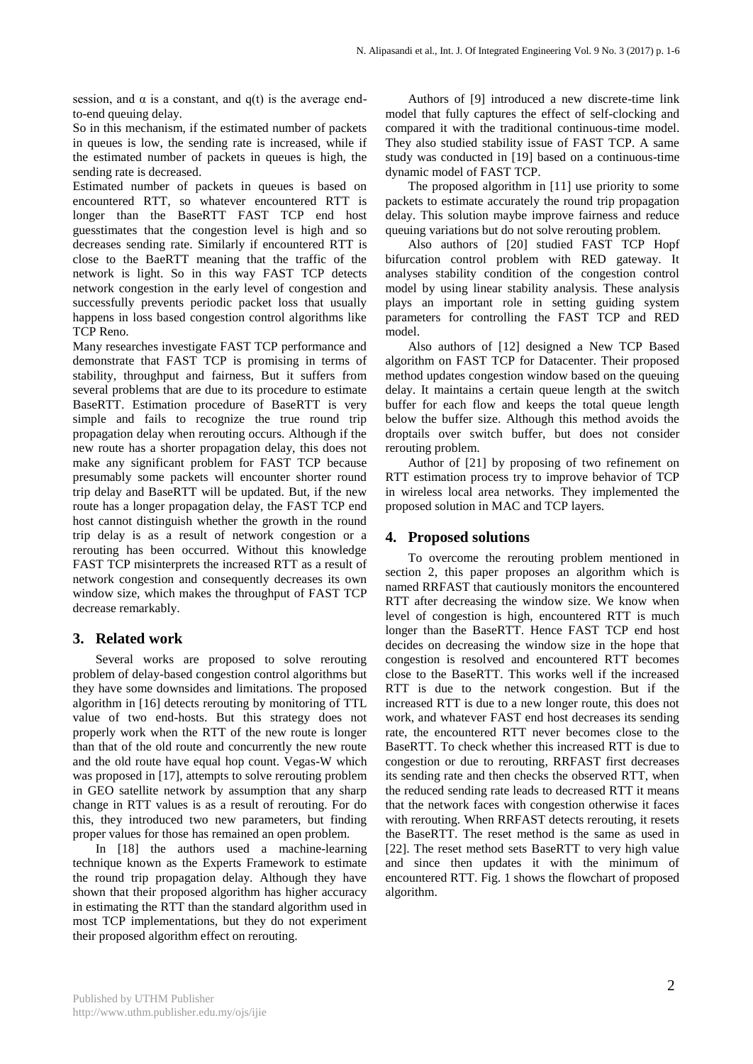session, and  $\alpha$  is a constant, and q(t) is the average endto-end queuing delay.

So in this mechanism, if the estimated number of packets in queues is low, the sending rate is increased, while if the estimated number of packets in queues is high, the sending rate is decreased.

Estimated number of packets in queues is based on encountered RTT, so whatever encountered RTT is longer than the BaseRTT FAST TCP end host guesstimates that the congestion level is high and so decreases sending rate. Similarly if encountered RTT is close to the BaeRTT meaning that the traffic of the network is light. So in this way FAST TCP detects network congestion in the early level of congestion and successfully prevents periodic packet loss that usually happens in loss based congestion control algorithms like TCP Reno.

Many researches investigate FAST TCP performance and demonstrate that FAST TCP is promising in terms of stability, throughput and fairness, But it suffers from several problems that are due to its procedure to estimate BaseRTT. Estimation procedure of BaseRTT is very simple and fails to recognize the true round trip propagation delay when rerouting occurs. Although if the new route has a shorter propagation delay, this does not make any significant problem for FAST TCP because presumably some packets will encounter shorter round trip delay and BaseRTT will be updated. But, if the new route has a longer propagation delay, the FAST TCP end host cannot distinguish whether the growth in the round trip delay is as a result of network congestion or a rerouting has been occurred. Without this knowledge FAST TCP misinterprets the increased RTT as a result of network congestion and consequently decreases its own window size, which makes the throughput of FAST TCP decrease remarkably.

#### **3. Related work**

Several works are proposed to solve rerouting problem of delay-based congestion control algorithms but they have some downsides and limitations. The proposed algorithm in [16] detects rerouting by monitoring of TTL value of two end-hosts. But this strategy does not properly work when the RTT of the new route is longer than that of the old route and concurrently the new route and the old route have equal hop count. Vegas-W which was proposed in [17], attempts to solve rerouting problem in GEO satellite network by assumption that any sharp change in RTT values is as a result of rerouting. For do this, they introduced two new parameters, but finding proper values for those has remained an open problem.

In [18] the authors used a machine-learning technique known as the Experts Framework to estimate the round trip propagation delay. Although they have shown that their proposed algorithm has higher accuracy in estimating the RTT than the standard algorithm used in most TCP implementations, but they do not experiment their proposed algorithm effect on rerouting.

Authors of [9] introduced a new discrete-time link model that fully captures the effect of self-clocking and compared it with the traditional continuous-time model. They also studied stability issue of FAST TCP. A same study was conducted in [19] based on a continuous-time dynamic model of FAST TCP.

The proposed algorithm in [11] use priority to some packets to estimate accurately the round trip propagation delay. This solution maybe improve fairness and reduce queuing variations but do not solve rerouting problem.

Also authors of [20] studied FAST TCP Hopf bifurcation control problem with RED gateway. It analyses stability condition of the congestion control model by using linear stability analysis. These analysis plays an important role in setting guiding system parameters for controlling the FAST TCP and RED model.

Also authors of [12] designed a New TCP Based algorithm on FAST TCP for Datacenter. Their proposed method updates congestion window based on the queuing delay. It maintains a certain queue length at the switch buffer for each flow and keeps the total queue length below the buffer size. Although this method avoids the droptails over switch buffer, but does not consider rerouting problem.

Author of [21] by proposing of two refinement on RTT estimation process try to improve behavior of TCP in wireless local area networks. They implemented the proposed solution in MAC and TCP layers.

#### **4. Proposed solutions**

To overcome the rerouting problem mentioned in section 2, this paper proposes an algorithm which is named RRFAST that cautiously monitors the encountered RTT after decreasing the window size. We know when level of congestion is high, encountered RTT is much longer than the BaseRTT. Hence FAST TCP end host decides on decreasing the window size in the hope that congestion is resolved and encountered RTT becomes close to the BaseRTT. This works well if the increased RTT is due to the network congestion. But if the increased RTT is due to a new longer route, this does not work, and whatever FAST end host decreases its sending rate, the encountered RTT never becomes close to the BaseRTT. To check whether this increased RTT is due to congestion or due to rerouting, RRFAST first decreases its sending rate and then checks the observed RTT, when the reduced sending rate leads to decreased RTT it means that the network faces with congestion otherwise it faces with rerouting. When RRFAST detects rerouting, it resets the BaseRTT. The reset method is the same as used in [22]. The reset method sets BaseRTT to very high value and since then updates it with the minimum of encountered RTT. Fig. 1 shows the flowchart of proposed algorithm.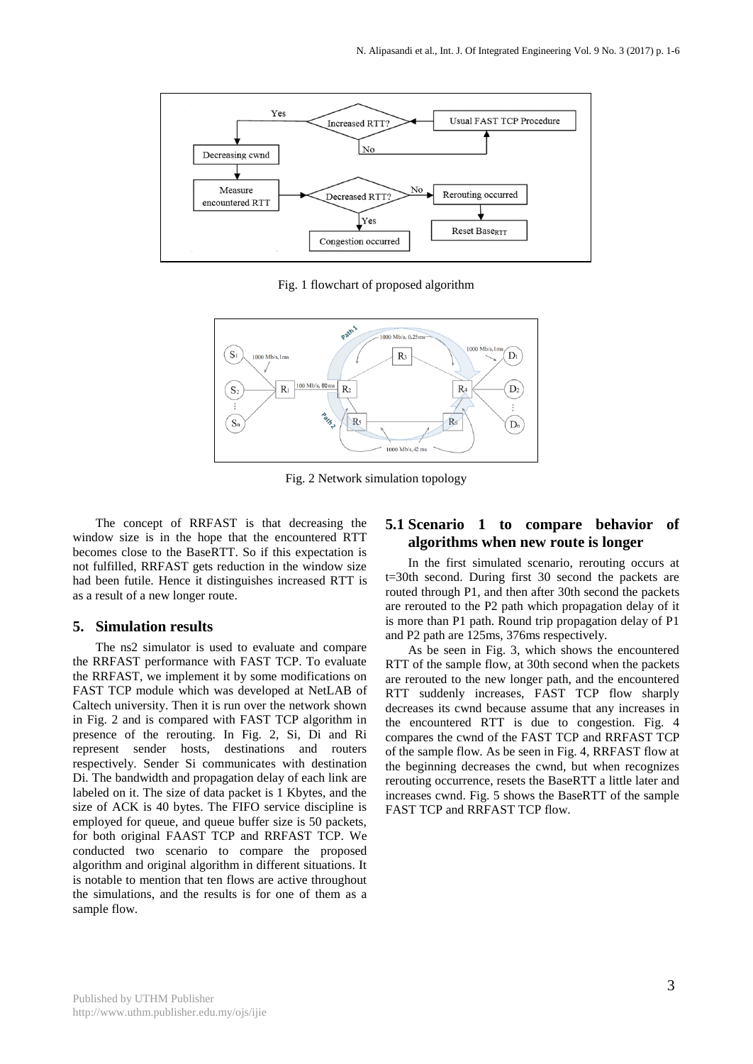

Fig. 1 flowchart of proposed algorithm



Fig. 2 Network simulation topology

The concept of RRFAST is that decreasing the window size is in the hope that the encountered RTT becomes close to the BaseRTT. So if this expectation is not fulfilled, RRFAST gets reduction in the window size had been futile. Hence it distinguishes increased RTT is as a result of a new longer route.

#### **5. Simulation results**

The ns2 simulator is used to evaluate and compare the RRFAST performance with FAST TCP. To evaluate the RRFAST, we implement it by some modifications on FAST TCP module which was developed at NetLAB of Caltech university. Then it is run over the network shown in Fig. 2 and is compared with FAST TCP algorithm in presence of the rerouting. In Fig. 2, Si, Di and Ri represent sender hosts, destinations and routers respectively. Sender Si communicates with destination Di. The bandwidth and propagation delay of each link are labeled on it. The size of data packet is 1 Kbytes, and the size of ACK is 40 bytes. The FIFO service discipline is employed for queue, and queue buffer size is 50 packets, for both original FAAST TCP and RRFAST TCP. We conducted two scenario to compare the proposed algorithm and original algorithm in different situations. It is notable to mention that ten flows are active throughout the simulations, and the results is for one of them as a sample flow.

## **5.1 Scenario 1 to compare behavior of algorithms when new route is longer**

In the first simulated scenario, rerouting occurs at t=30th second. During first 30 second the packets are routed through P1, and then after 30th second the packets are rerouted to the P2 path which propagation delay of it is more than P1 path. Round trip propagation delay of P1 and P2 path are 125ms, 376ms respectively.

As be seen in Fig. 3, which shows the encountered RTT of the sample flow, at 30th second when the packets are rerouted to the new longer path, and the encountered RTT suddenly increases, FAST TCP flow sharply decreases its cwnd because assume that any increases in the encountered RTT is due to congestion. Fig. 4 compares the cwnd of the FAST TCP and RRFAST TCP of the sample flow. As be seen in Fig. 4, RRFAST flow at the beginning decreases the cwnd, but when recognizes rerouting occurrence, resets the BaseRTT a little later and increases cwnd. Fig. 5 shows the BaseRTT of the sample FAST TCP and RRFAST TCP flow.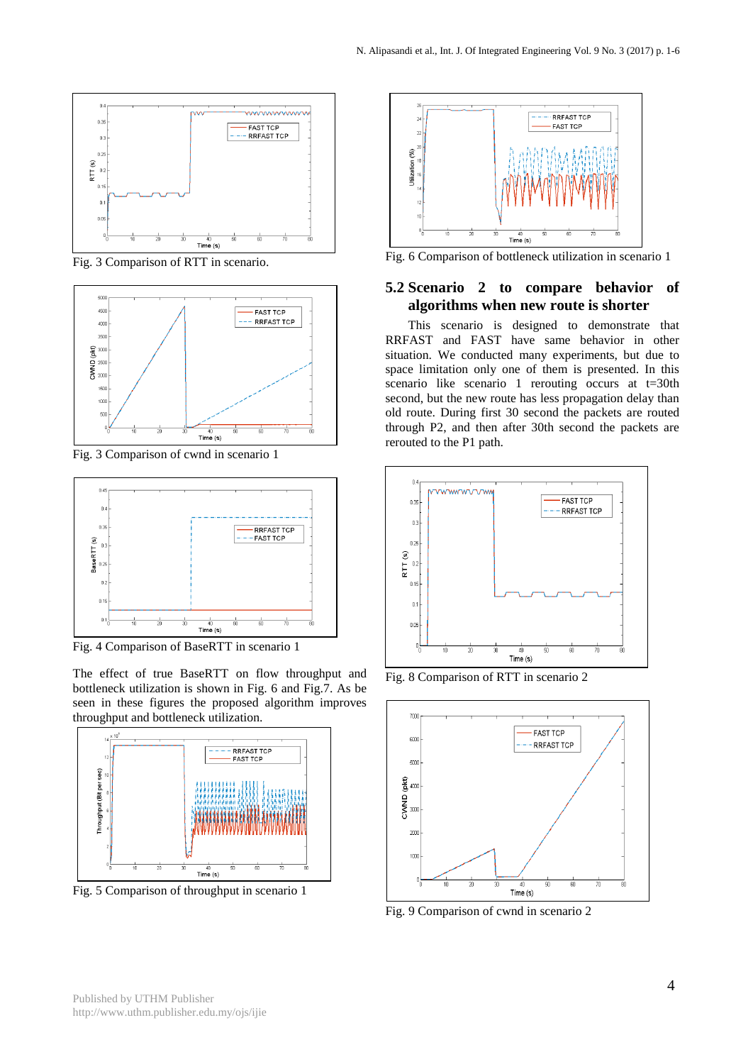

Fig. 3 Comparison of RTT in scenario.



Fig. 3 Comparison of cwnd in scenario 1



Fig. 4 Comparison of BaseRTT in scenario 1

The effect of true BaseRTT on flow throughput and bottleneck utilization is shown in Fig. 6 and Fig.7. As be seen in these figures the proposed algorithm improves throughput and bottleneck utilization.



Fig. 5 Comparison of throughput in scenario 1



Fig. 6 Comparison of bottleneck utilization in scenario 1

# **5.2 Scenario 2 to compare behavior of algorithms when new route is shorter**

This scenario is designed to demonstrate that RRFAST and FAST have same behavior in other situation. We conducted many experiments, but due to space limitation only one of them is presented. In this scenario like scenario 1 rerouting occurs at t=30th second, but the new route has less propagation delay than old route. During first 30 second the packets are routed through P2, and then after 30th second the packets are rerouted to the P1 path.



Fig. 8 Comparison of RTT in scenario 2



Fig. 9 Comparison of cwnd in scenario 2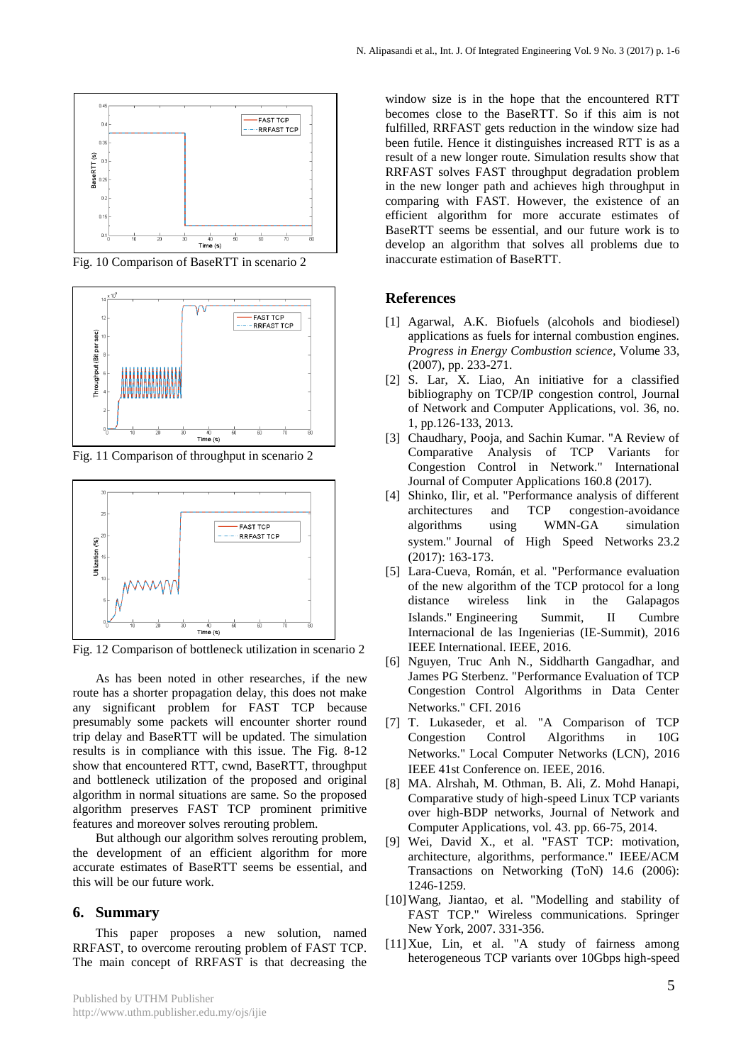

Fig. 10 Comparison of BaseRTT in scenario 2



Fig. 11 Comparison of throughput in scenario 2



Fig. 12 Comparison of bottleneck utilization in scenario 2

As has been noted in other researches, if the new route has a shorter propagation delay, this does not make any significant problem for FAST TCP because presumably some packets will encounter shorter round trip delay and BaseRTT will be updated. The simulation results is in compliance with this issue. The Fig. 8-12 show that encountered RTT, cwnd, BaseRTT, throughput and bottleneck utilization of the proposed and original algorithm in normal situations are same. So the proposed algorithm preserves FAST TCP prominent primitive features and moreover solves rerouting problem.

But although our algorithm solves rerouting problem, the development of an efficient algorithm for more accurate estimates of BaseRTT seems be essential, and this will be our future work.

#### **6. Summary**

This paper proposes a new solution, named RRFAST, to overcome rerouting problem of FAST TCP. The main concept of RRFAST is that decreasing the

window size is in the hope that the encountered RTT becomes close to the BaseRTT. So if this aim is not fulfilled, RRFAST gets reduction in the window size had been futile. Hence it distinguishes increased RTT is as a result of a new longer route. Simulation results show that RRFAST solves FAST throughput degradation problem in the new longer path and achieves high throughput in comparing with FAST. However, the existence of an efficient algorithm for more accurate estimates of BaseRTT seems be essential, and our future work is to develop an algorithm that solves all problems due to inaccurate estimation of BaseRTT.

#### **References**

- [1] Agarwal, A.K. Biofuels (alcohols and biodiesel) applications as fuels for internal combustion engines. *Progress in Energy Combustion science*, Volume 33, (2007), pp. 233-271.
- [2] S. Lar, X. Liao, An initiative for a classified bibliography on TCP/IP congestion control, Journal of Network and Computer Applications, vol. 36, no. 1, pp.126-133, 2013.
- [3] Chaudhary, Pooja, and Sachin Kumar. "A Review of Comparative Analysis of TCP Variants for Congestion Control in Network." International Journal of Computer Applications 160.8 (2017).
- [4] Shinko, Ilir, et al. "Performance analysis of different architectures and TCP congestion-avoidance algorithms using WMN-GA simulation system." Journal of High Speed Networks 23.2 (2017): 163-173.
- [5] Lara-Cueva, Román, et al. "Performance evaluation of the new algorithm of the TCP protocol for a long distance wireless link in the Galapagos Islands." Engineering Summit, II Cumbre Internacional de las Ingenierias (IE-Summit), 2016 IEEE International. IEEE, 2016.
- [6] Nguyen, Truc Anh N., Siddharth Gangadhar, and James PG Sterbenz. "Performance Evaluation of TCP Congestion Control Algorithms in Data Center Networks." CFI. 2016
- [7] T. Lukaseder, et al. "A Comparison of TCP Congestion Control Algorithms in 10G Networks." Local Computer Networks (LCN), 2016 IEEE 41st Conference on. IEEE, 2016.
- [8] MA. Alrshah, M. Othman, B. Ali, Z. Mohd Hanapi, Comparative study of high-speed Linux TCP variants over high-BDP networks, Journal of Network and Computer Applications, vol. 43. pp. 66-75, 2014.
- [9] Wei, David X., et al. "FAST TCP: motivation, architecture, algorithms, performance." IEEE/ACM Transactions on Networking (ToN) 14.6 (2006): 1246-1259.
- [10]Wang, Jiantao, et al. "Modelling and stability of FAST TCP." Wireless communications. Springer New York, 2007. 331-356.
- [11] Xue, Lin, et al. "A study of fairness among heterogeneous TCP variants over 10Gbps high-speed